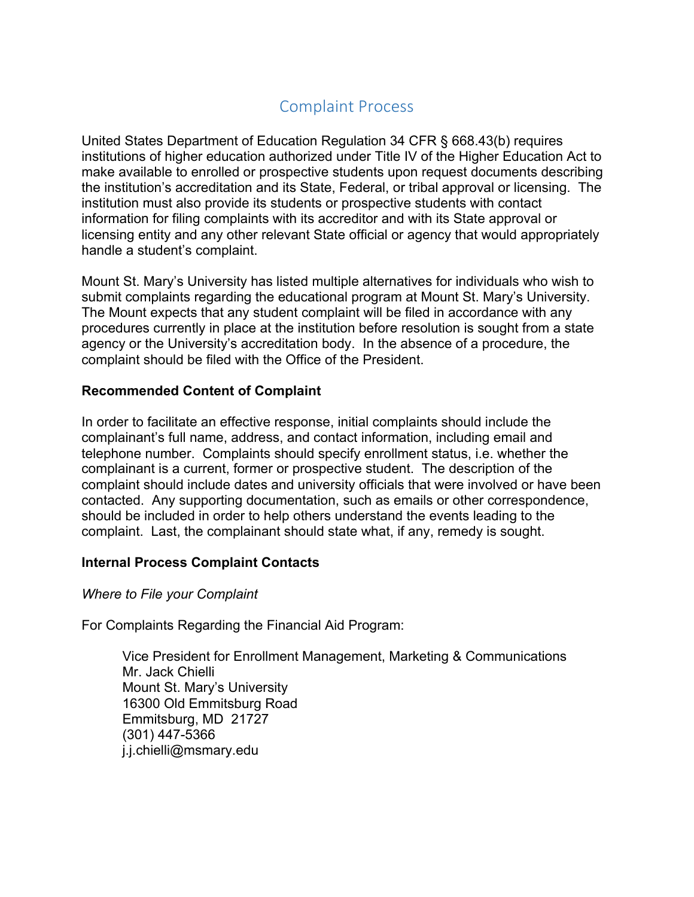## Complaint Process

United States Department of Education Regulation 34 CFR § 668.43(b) requires institutions of higher education authorized under Title IV of the Higher Education Act to make available to enrolled or prospective students upon request documents describing the institution's accreditation and its State, Federal, or tribal approval or licensing. The institution must also provide its students or prospective students with contact information for filing complaints with its accreditor and with its State approval or licensing entity and any other relevant State official or agency that would appropriately handle a student's complaint.

Mount St. Mary's University has listed multiple alternatives for individuals who wish to submit complaints regarding the educational program at Mount St. Mary's University. The Mount expects that any student complaint will be filed in accordance with any procedures currently in place at the institution before resolution is sought from a state agency or the University's accreditation body. In the absence of a procedure, the complaint should be filed with the Office of the President.

## **Recommended Content of Complaint**

In order to facilitate an effective response, initial complaints should include the complainant's full name, address, and contact information, including email and telephone number. Complaints should specify enrollment status, i.e. whether the complainant is a current, former or prospective student. The description of the complaint should include dates and university officials that were involved or have been contacted. Any supporting documentation, such as emails or other correspondence, should be included in order to help others understand the events leading to the complaint. Last, the complainant should state what, if any, remedy is sought.

## **Internal Process Complaint Contacts**

## *Where to File your Complaint*

For Complaints Regarding the Financial Aid Program:

Vice President for Enrollment Management, Marketing & Communications Mr. Jack Chielli Mount St. Mary's University 16300 Old Emmitsburg Road Emmitsburg, MD 21727 (301) 447-5366 j.j.chielli@msmary.edu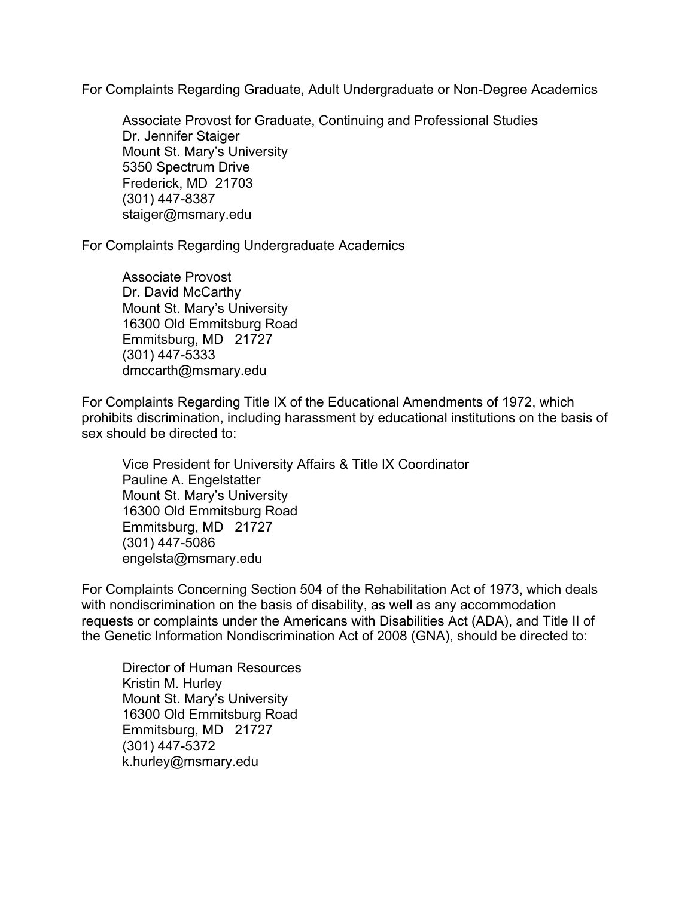For Complaints Regarding Graduate, Adult Undergraduate or Non-Degree Academics

Associate Provost for Graduate, Continuing and Professional Studies Dr. Jennifer Staiger Mount St. Mary's University 5350 Spectrum Drive Frederick, MD 21703 (301) 447-8387 staiger@msmary.edu

For Complaints Regarding Undergraduate Academics

Associate Provost Dr. David McCarthy Mount St. Mary's University 16300 Old Emmitsburg Road Emmitsburg, MD 21727 (301) 447-5333 dmccarth@msmary.edu

For Complaints Regarding Title IX of the Educational Amendments of 1972, which prohibits discrimination, including harassment by educational institutions on the basis of sex should be directed to:

Vice President for University Affairs & Title IX Coordinator Pauline A. Engelstatter Mount St. Mary's University 16300 Old Emmitsburg Road Emmitsburg, MD 21727 (301) 447-5086 engelsta@msmary.edu

For Complaints Concerning Section 504 of the Rehabilitation Act of 1973, which deals with nondiscrimination on the basis of disability, as well as any accommodation requests or complaints under the Americans with Disabilities Act (ADA), and Title II of the Genetic Information Nondiscrimination Act of 2008 (GNA), should be directed to:

Director of Human Resources Kristin M. Hurley Mount St. Mary's University 16300 Old Emmitsburg Road Emmitsburg, MD 21727 (301) 447-5372 k.hurley@msmary.edu